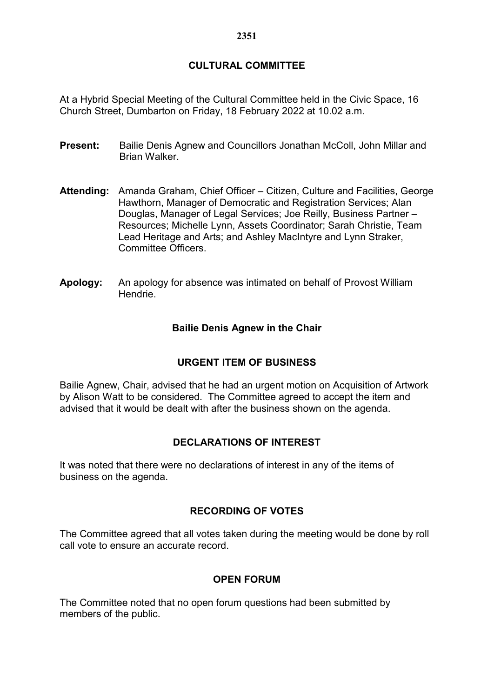# **CULTURAL COMMITTEE**

At a Hybrid Special Meeting of the Cultural Committee held in the Civic Space, 16 Church Street, Dumbarton on Friday, 18 February 2022 at 10.02 a.m.

- **Present:** Bailie Denis Agnew and Councillors Jonathan McColl, John Millar and Brian Walker.
- **Attending:** Amanda Graham, Chief Officer Citizen, Culture and Facilities, George Hawthorn, Manager of Democratic and Registration Services; Alan Douglas, Manager of Legal Services; Joe Reilly, Business Partner – Resources; Michelle Lynn, Assets Coordinator; Sarah Christie, Team Lead Heritage and Arts; and Ashley MacIntyre and Lynn Straker, Committee Officers.
- **Apology:** An apology for absence was intimated on behalf of Provost William Hendrie.

## **Bailie Denis Agnew in the Chair**

#### **URGENT ITEM OF BUSINESS**

Bailie Agnew, Chair, advised that he had an urgent motion on Acquisition of Artwork by Alison Watt to be considered. The Committee agreed to accept the item and advised that it would be dealt with after the business shown on the agenda.

## **DECLARATIONS OF INTEREST**

It was noted that there were no declarations of interest in any of the items of business on the agenda.

#### **RECORDING OF VOTES**

The Committee agreed that all votes taken during the meeting would be done by roll call vote to ensure an accurate record.

#### **OPEN FORUM**

The Committee noted that no open forum questions had been submitted by members of the public.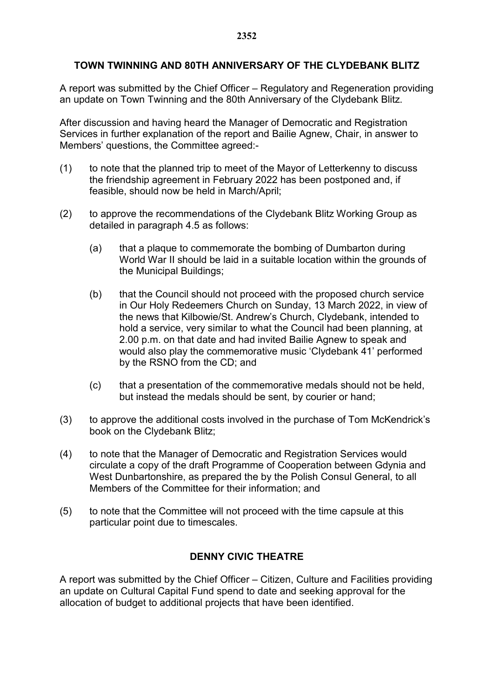## **TOWN TWINNING AND 80TH ANNIVERSARY OF THE CLYDEBANK BLITZ**

A report was submitted by the Chief Officer – Regulatory and Regeneration providing an update on Town Twinning and the 80th Anniversary of the Clydebank Blitz.

After discussion and having heard the Manager of Democratic and Registration Services in further explanation of the report and Bailie Agnew, Chair, in answer to Members' questions, the Committee agreed:-

- (1) to note that the planned trip to meet of the Mayor of Letterkenny to discuss the friendship agreement in February 2022 has been postponed and, if feasible, should now be held in March/April;
- (2) to approve the recommendations of the Clydebank Blitz Working Group as detailed in paragraph 4.5 as follows:
	- (a) that a plaque to commemorate the bombing of Dumbarton during World War II should be laid in a suitable location within the grounds of the Municipal Buildings;
	- (b) that the Council should not proceed with the proposed church service in Our Holy Redeemers Church on Sunday, 13 March 2022, in view of the news that Kilbowie/St. Andrew's Church, Clydebank, intended to hold a service, very similar to what the Council had been planning, at 2.00 p.m. on that date and had invited Bailie Agnew to speak and would also play the commemorative music 'Clydebank 41' performed by the RSNO from the CD; and
	- (c) that a presentation of the commemorative medals should not be held, but instead the medals should be sent, by courier or hand;
- (3) to approve the additional costs involved in the purchase of Tom McKendrick's book on the Clydebank Blitz;
- (4) to note that the Manager of Democratic and Registration Services would circulate a copy of the draft Programme of Cooperation between Gdynia and West Dunbartonshire, as prepared the by the Polish Consul General, to all Members of the Committee for their information; and
- (5) to note that the Committee will not proceed with the time capsule at this particular point due to timescales.

### **DENNY CIVIC THEATRE**

A report was submitted by the Chief Officer – Citizen, Culture and Facilities providing an update on Cultural Capital Fund spend to date and seeking approval for the allocation of budget to additional projects that have been identified.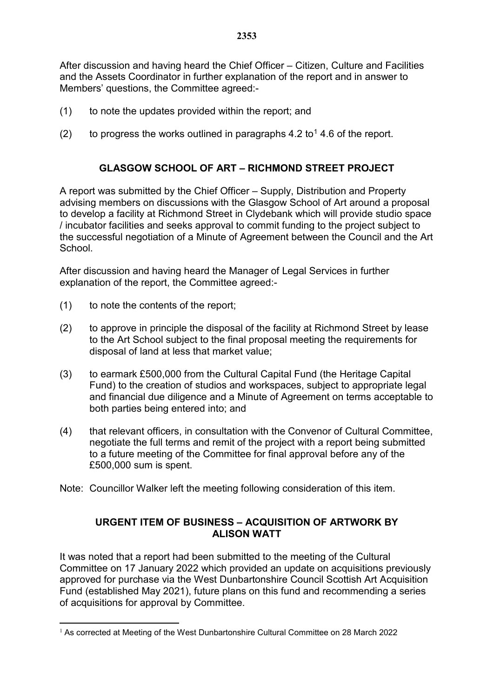After discussion and having heard the Chief Officer – Citizen, Culture and Facilities and the Assets Coordinator in further explanation of the report and in answer to Members' questions, the Committee agreed:-

- (1) to note the updates provided within the report; and
- (2) to progress the works outlined in paragraphs  $4.2$  to<sup>[1](#page-2-0)</sup> 4.6 of the report.

## **GLASGOW SCHOOL OF ART – RICHMOND STREET PROJECT**

A report was submitted by the Chief Officer – Supply, Distribution and Property advising members on discussions with the Glasgow School of Art around a proposal to develop a facility at Richmond Street in Clydebank which will provide studio space / incubator facilities and seeks approval to commit funding to the project subject to the successful negotiation of a Minute of Agreement between the Council and the Art School.

After discussion and having heard the Manager of Legal Services in further explanation of the report, the Committee agreed:-

- (1) to note the contents of the report;
- (2) to approve in principle the disposal of the facility at Richmond Street by lease to the Art School subject to the final proposal meeting the requirements for disposal of land at less that market value;
- (3) to earmark £500,000 from the Cultural Capital Fund (the Heritage Capital Fund) to the creation of studios and workspaces, subject to appropriate legal and financial due diligence and a Minute of Agreement on terms acceptable to both parties being entered into; and
- (4) that relevant officers, in consultation with the Convenor of Cultural Committee, negotiate the full terms and remit of the project with a report being submitted to a future meeting of the Committee for final approval before any of the £500,000 sum is spent.
- Note: Councillor Walker left the meeting following consideration of this item.

## **URGENT ITEM OF BUSINESS – ACQUISITION OF ARTWORK BY ALISON WATT**

It was noted that a report had been submitted to the meeting of the Cultural Committee on 17 January 2022 which provided an update on acquisitions previously approved for purchase via the West Dunbartonshire Council Scottish Art Acquisition Fund (established May 2021), future plans on this fund and recommending a series of acquisitions for approval by Committee.

<span id="page-2-0"></span> $1$  As corrected at Meeting of the West Dunbartonshire Cultural Committee on 28 March 2022